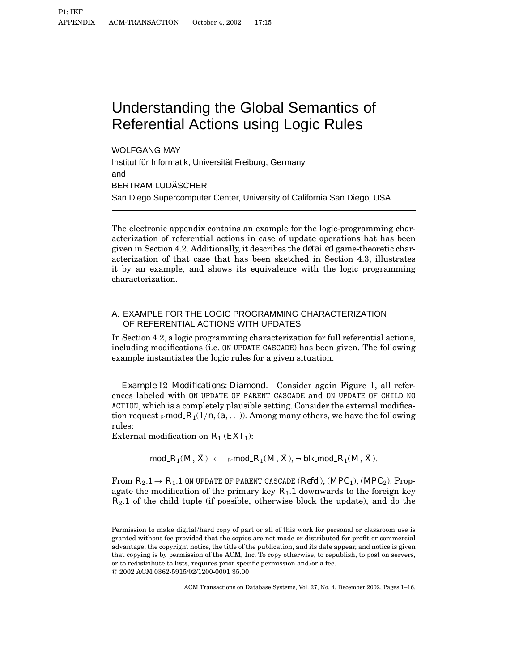WOLFGANG MAY Institut für Informatik, Universität Freiburg, Germany and BERTRAM LUDÄSCHER San Diego Supercomputer Center, University of California San Diego, USA

The electronic appendix contains an example for the logic-programming characterization of referential actions in case of update operations hat has been given in Section 4.2. Additionally, it describes the *detailed* game-theoretic characterization of that case that has been sketched in Section 4.3, illustrates it by an example, and shows its equivalence with the logic programming characterization.

# A. EXAMPLE FOR THE LOGIC PROGRAMMING CHARACTERIZATION OF REFERENTIAL ACTIONS WITH UPDATES

In Section 4.2, a logic programming characterization for full referential actions, including modifications (i.e. ON UPDATE CASCADE) has been given. The following example instantiates the logic rules for a given situation.

*Example* 12 *Modifications: Diamond.* Consider again Figure 1, all references labeled with ON UPDATE OF PARENT CASCADE and ON UPDATE OF CHILD NO ACTION, which is a completely plausible setting. Consider the external modification request  $\text{mod } R_1(1/n, (a, \ldots))$ . Among many others, we have the following rules:

External modification on *R*<sup>1</sup> (*EXT*1):

$$
\text{mod}\,R_1(M,\bar X) \;\gets\;\; \text{mod}\,\,R_1(M,\bar X), \neg \;\text{blk\_mod}\,\,R_1(M,\bar X).
$$

From  $R_2.1 \rightarrow R_1.1$  ON UPDATE OF PARENT CASCADE (*Refd*),  $(MPC_1)$ ,  $(MPC_2)$ : Propagate the modification of the primary key  $R_1$ .1 downwards to the foreign key *R*2.1 of the child tuple (if possible, otherwise block the update), and do the

Permission to make digital/hard copy of part or all of this work for personal or classroom use is granted without fee provided that the copies are not made or distributed for profit or commercial advantage, the copyright notice, the title of the publication, and its date appear, and notice is given that copying is by permission of the ACM, Inc. To copy otherwise, to republish, to post on servers, or to redistribute to lists, requires prior specific permission and/or a fee. °<sup>C</sup> 2002 ACM 0362-5915/02/1200-0001 \$5.00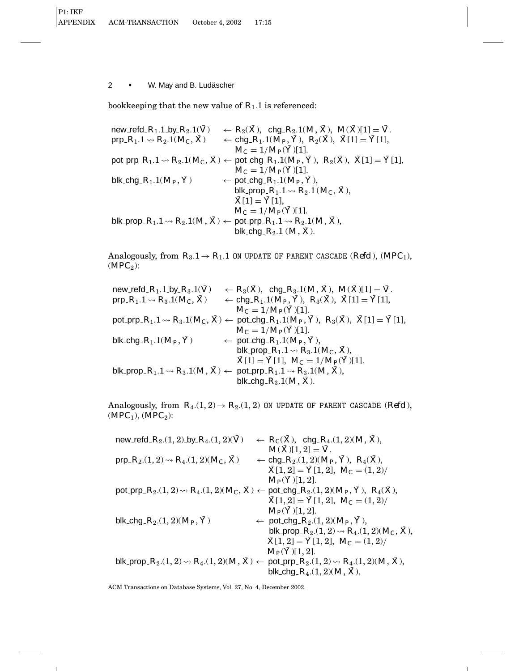bookkeeping that the new value of  $R_1$ .1 is referenced:

 $new\_red\_R_1.1$  by  $R_2.1(\bar{V}) \leftarrow R_2(\bar{X})$ , chg  $R_2.1(M, \bar{X})$ ,  $M(\bar{X})[1] = \bar{V}$ .<br>  $pro_1R_1.1 \rightsquigarrow R_2.1(M_C, \bar{X}) \leftarrow chg\_R_1.1(M_P, \bar{Y})$ ,  $R_2(\bar{X})$ ,  $\bar{X}[1] = \bar{Y}[1]$ ,  $P \leftarrow \text{chg}_R R_1.1(M_P, \bar{Y}), R_2(\bar{X}), \bar{X}[1] = \bar{Y}[1],$  $M_C = 1/M_P(\bar{Y})$ [1].  $\text{pot\_prp}_1 R_1 \cdot 1 \rightsquigarrow R_2 \cdot 1(M_C, \bar{X}) \leftarrow \text{pot\_chg}_2 R_1 \cdot 1(M_P, \bar{Y}), R_2(\bar{X}), \bar{X}[1] = \bar{Y}[1],$  $M_C = 1/M_P(\bar{Y})$ [1].  $blk\_chg\_R_1.1(M_P, \bar{Y}) \leftarrow pot\_chg\_R_1.1(M_P, \bar{Y}),$ blk\_prop\_ $R_1.1 \rightsquigarrow R_2.1$  ( $M_C, \bar{X}$ ),  $\bar{X}[1] = \bar{Y}[1],$  $M_C = 1/M_P(\bar{Y})$ [1].  $b$ lk prop  $R_1$ .1  $\rightsquigarrow R_2$ .1(*M*,  $\bar{X}$ )  $\leftarrow$  pot prp  $R_1$ .1 $\rightsquigarrow R_2$ .1(*M*,  $\bar{X}$ ), blk\_chg\_ $R_2.1$  ( $M, \overline{X}$ ).

Analogously, from  $R_3.1 \rightarrow R_1.1$  ON UPDATE OF PARENT CASCADE (*Refd*), (*MPC*<sub>1</sub>),  $(MPC_2)$ :

| new refd $R_1$ .1 by $R_3$ .1( $\bar{V}$ )                                                                            | $\leftarrow R_3(\bar{X})$ , chg_ $R_3.1(M, \bar{X})$ , $M(\bar{X})[1] = \bar{V}$ .                                                                             |
|-----------------------------------------------------------------------------------------------------------------------|----------------------------------------------------------------------------------------------------------------------------------------------------------------|
| prp_ $R_1.1 \rightarrow R_3.1(M_C, \bar{X})$                                                                          | ← chg_ $R_1.1(M_P, \bar{Y})$ , $R_3(\bar{X})$ , $\bar{X}[1] = \bar{Y}[1]$ ,                                                                                    |
|                                                                                                                       | $M_C = 1/M_P(\bar{Y})[1].$                                                                                                                                     |
|                                                                                                                       | pot_prp_R <sub>1</sub> .1 \times $R_3.1(M_C, \bar{X}) \leftarrow$ pot_chg_R <sub>1</sub> .1( $M_P$ , $\bar{Y}$ ), $R_3(\bar{X})$ , $\bar{X}[1] = \bar{Y}[1]$ , |
|                                                                                                                       | $M_C = 1/M_P(\bar{Y})[1].$                                                                                                                                     |
| blk_chg_ $R_1.1(M_P, \bar{Y})$                                                                                        | $\leftarrow$ pot chg $R_1.1(M_P, \bar{Y}),$                                                                                                                    |
|                                                                                                                       | blk_prop_ $R_1.1 \rightarrow R_3.1(M_C, \bar{X}),$                                                                                                             |
|                                                                                                                       | $\bar{X}[1] = \bar{Y}[1], M_C = 1/M_P(\bar{Y})[1].$                                                                                                            |
| blk_prop_ $R_1.1 \rightsquigarrow R_3.1(M, \bar{X}) \leftarrow$ pot_prp_ $R_1.1 \rightsquigarrow R_3.1(M, \bar{X})$ , |                                                                                                                                                                |
|                                                                                                                       | blk_chg_ $R_3.1(M, \bar{X})$ .                                                                                                                                 |

Analogously, from  $R_4(1, 2) \rightarrow R_2(1, 2)$  ON UPDATE OF PARENT CASCADE (*Refd*),  $(MPC_1)$ ,  $(MPC_2)$ :

| new_refd_ $R_2$ .(1, 2)_by_ $R_4$ .(1, 2)( $\bar{V}$ )                                                                      | $\leftarrow R_C(\bar{X})$ , chg <sub>-</sub> $R_4(1,2)(M,\bar{X})$ ,                                                        |
|-----------------------------------------------------------------------------------------------------------------------------|-----------------------------------------------------------------------------------------------------------------------------|
|                                                                                                                             | $M(\bar{X})[1,2] = \bar{V}.$                                                                                                |
| prp_ $R_2$ .(1, 2) $\rightsquigarrow R_4$ .(1, 2)( $M_C$ , $\bar{X}$ )                                                      | $\leftarrow$ chg <sub>-</sub> $R_2(1,2)(M_P, \overline{Y})$ , $R_4(\overline{X})$ ,                                         |
|                                                                                                                             | $\bar{X}[1,2] = \bar{Y}[1,2], M_C = (1,2)$                                                                                  |
|                                                                                                                             | $M_P(\bar{Y})[1,2].$                                                                                                        |
| pot_prp_ $R_2(1,2) \rightsquigarrow R_4(1,2)(M_C, \bar{X}) \leftarrow$ pot_chg_ $R_2(1,2)(M_P, \bar{Y})$ , $R_4(\bar{X})$ , |                                                                                                                             |
|                                                                                                                             | $\bar{X}[1,2] = \bar{Y}[1,2], M_C = (1,2)$                                                                                  |
|                                                                                                                             | $M_P(\bar{Y})[1,2].$                                                                                                        |
| blk_chg_ $R_2$ .(1, 2)( $M_P$ , $\bar{Y}$ )                                                                                 | $\leftarrow$ pot_chg_ $R_2(1, 2)(M_P, \bar{Y}),$                                                                            |
|                                                                                                                             | blk_prop_ $R_2$ .(1, 2) $\rightsquigarrow R_4$ .(1, 2)( $M_C$ , $\bar{X}$ ),                                                |
|                                                                                                                             | $\bar{X}[1,2] = \bar{Y}[1,2], M_C = (1,2)$                                                                                  |
|                                                                                                                             | $M_P(\bar{Y})[1,2].$                                                                                                        |
|                                                                                                                             | blk_prop_ $R_2(1,2) \rightsquigarrow R_4(1,2)(M,\bar{X})$ $\leftarrow$ pot_prp_ $R_2(1,2) \rightsquigarrow R_4(1,2)(M,X)$ , |
|                                                                                                                             | blk_chg_ $R_4(1, 2)(M, X)$ .                                                                                                |
|                                                                                                                             |                                                                                                                             |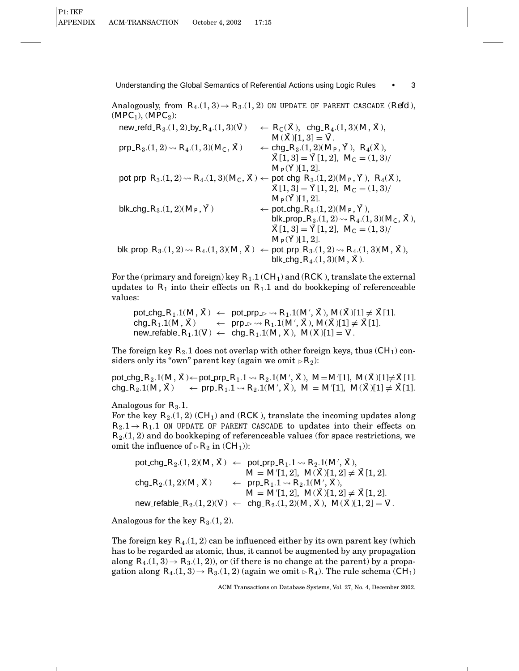Analogously, from  $R_4(1,3) \rightarrow R_3(1,2)$  ON UPDATE OF PARENT CASCADE (*Refd*),  $(MPC_1)$ ,  $(MPC_2)$ :

| new_refd_ $R_3(1,2)$ _by_ $R_4(1,3)(\bar{V})$           | $\leftarrow R_C(\bar{X})$ , chg <sub>-</sub> $R_4(1,3)(M,\bar{X})$ ,                                                              |
|---------------------------------------------------------|-----------------------------------------------------------------------------------------------------------------------------------|
|                                                         | $M(\bar{X})[1,3] = \bar{V}.$                                                                                                      |
| prp_ $R_3(1,2) \rightsquigarrow R_4(1,3)(M_C, \bar{X})$ | $\leftarrow$ chg <sub>-</sub> $R_3(1,2)(M_P, \bar{Y})$ , $R_4(\bar{X})$ ,                                                         |
|                                                         | $\bar{X}[1,3] = \bar{Y}[1,2], M_C = (1,3)$                                                                                        |
|                                                         | $M_P(Y)[1,2].$                                                                                                                    |
|                                                         | pot_prp_ $R_3.(1,2) \rightsquigarrow R_4.(1,3) (M_C, \bar{X}) \leftarrow$ pot_chg_ $R_3.(1,2) (M_P, \bar{Y})$ , $R_4(\bar{X})$ ,  |
|                                                         | $\bar{X}[1,3] = \bar{Y}[1,2], M_C = (1,3)$                                                                                        |
|                                                         | $M_P(Y)[1,2].$                                                                                                                    |
| blk_chg_ $R_3(1,2)(M_P, \bar{Y})$                       | $\leftarrow$ pot_chg_R <sub>3</sub> .(1, 2)( $M_P$ , $\bar{Y}$ ),                                                                 |
|                                                         | blk_prop_ $R_3(1, 2) \rightsquigarrow R_4(1, 3)(M_C, \bar{X}),$                                                                   |
|                                                         | $\bar{X}[1,3] = \bar{Y}[1,2], M_C = (1,3)$                                                                                        |
|                                                         | $M_P(\bar{Y})[1,2].$                                                                                                              |
|                                                         | blk_prop_ $R_3(1,2) \rightsquigarrow R_4(1,3)(M,\bar{X})$ $\leftarrow$ pot_prp_ $R_3(1,2) \rightsquigarrow R_4(1,3)(M,\bar{X})$ , |
|                                                         | blk_chg_ $R_4.(1,3)(M, \bar{X}).$                                                                                                 |

For the (primary and foreign) key *R*1.1 (*CH*1) and (*RCK* ), translate the external updates to  $R_1$  into their effects on  $R_1$ .1 and do bookkeping of referenceable values:

 $\mathsf{pot\_chg\_}R_1.1(M,\bar{X}) \ \leftarrow \ \mathsf{pot\_prp\_} \triangleright \rightsquigarrow R_1.1(M',\bar{X}),\,M(\bar{X})[1] \neq \bar{X}[1].$  $\mathsf{chg}_R(R_1.1(M, \bar{X}) \longrightarrow \mathsf{prp}_{R^{\perp}} \rightarrow R_1.1(M', \bar{X}), M(\bar{X})[1] \neq \bar{X}[1].$  $new$  refable  $R_1.1(\bar{V}) \leftarrow$  chg  $R_1.1(M, \bar{X})$ ,  $M(\bar{X})[1] = \bar{V}$ .

The foreign key  $R_2$ .1 does not overlap with other foreign keys, thus  $(CH_1)$  considers only its "own" parent key (again we omit  $\triangleright R_2$ ):

 ${\sf pot\_chg\_}R_2.1(M,\bar X)$ ←  ${\sf pot\_prp\_}R_1.1$   $\leadsto R_2.1(M',\bar X),\ M{=}M'[1],\ M(\bar X)[1]{\neq} \bar X[1].$  $\mathsf{chg}_-R_2.1(M, \bar{X}) \quad \leftarrow \mathsf{prp}_-R_1.1 \rightsquigarrow R_2.1(M', \bar{X}), \; M = M'[1], \; M(\bar{X})[1] \neq \bar{X}[1].$ 

Analogous for  $R_3.1$ .

For the key *R*2.(1, 2) (*CH*1) and (*RCK* ), translate the incoming updates along  $R_2.1 \rightarrow R_1.1$  ON UPDATE OF PARENT CASCADE to updates into their effects on *R*2.(1, 2) and do bookkeping of referenceable values (for space restrictions, we omit the influence of  $\triangleright R_2$  in  $(CH_1)$ :

$$
\begin{array}{lll} \text{pot.chg.} R_2. (1,2)(M,\bar{X}) &\leftarrow & \text{pot\_prp.} R_1.1 \leadsto R_2.1(M',\bar{X}), \\ &\qquad \qquad M = M'[1,2], \ M(\bar{X})[1,2] \neq \bar{X}[1,2]. \\ &\text{chg.} R_2. (1,2)(M,\bar{X}) &\leftarrow & \text{prp.} R_1.1 \leadsto R_2.1(M',\bar{X}), \\ &\qquad \qquad M = M'[1,2], \ M(\bar{X})[1,2] \neq \bar{X}[1,2]. \\ &\text{new\_refable.} R_2. (1,2)(\bar{V}) &\leftarrow & \text{chg.} R_2. (1,2)(M,\bar{X}), \ M(\bar{X})[1,2] = \bar{V}. \end{array}
$$

Analogous for the key  $R_3(1, 2)$ .

The foreign key  $R_4(1, 2)$  can be influenced either by its own parent key (which has to be regarded as atomic, thus, it cannot be augmented by any propagation along  $R_4$ .(1, 3)  $\rightarrow$   $R_3$ .(1, 2)), or (if there is no change at the parent) by a propagation along  $R_4(1,3) \rightarrow R_3(1,2)$  (again we omit  $\triangleright R_4$ ). The rule schema (*CH*<sub>1</sub>)

ACM Transactions on Database Systems, Vol. 27, No. 4, December 2002.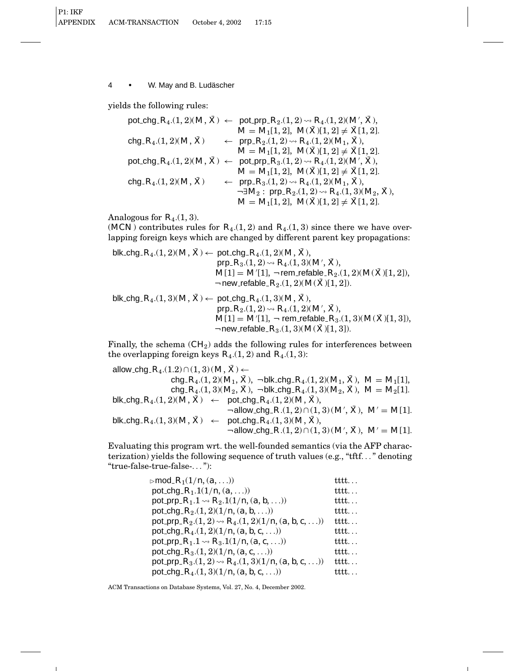yields the following rules:

pot chg *R*4.(1, 2)(*M*, *X*¯ ) ← pot prp *R*2.(1, 2)Ã *R*4.(1, 2)(*M*<sup>0</sup> , *X*¯ ), *M* = *M*1[1, 2], *M*(*X*¯ )[1, 2] 6= *X*¯ [1, 2]. chg *R*4.(1, 2)(*M*, *X*¯ ) ← prp *R*2.(1, 2)Ã *R*4.(1, 2)(*M*1, *X*¯ ), *M* = *M*1[1, 2], *M*(*X*¯ )[1, 2] 6= *X*¯ [1, 2]. pot chg *R*4.(1, 2)(*M*, *X*¯ ) ← pot prp *R*3.(1, 2)Ã *R*4.(1, 2)(*M*<sup>0</sup> , *X*¯ ), *M* = *M*1[1, 2], *M*(*X*¯ )[1, 2] 6= *X*¯ [1, 2]. chg *R*4.(1, 2)(*M*, *X*¯ ) ← prp *R*3.(1, 2)Ã *R*4.(1, 2)(*M*1, *X*¯ ), ¬∃*M*<sup>2</sup> : prp *R*2.(1, 2)Ã *R*4.(1, 3)(*M*2, *X*¯ ), *M* = *M*1[1, 2], *M*(*X*¯ )[1, 2] 6= *X*¯ [1, 2].

Analogous for  $R_4(1,3)$ .

(*MCN*) contributes rules for  $R_4(1, 2)$  and  $R_4(1, 3)$  since there we have overlapping foreign keys which are changed by different parent key propagations:

$$
\begin{aligned} \text{blk\_chg\_}R_4. (1,2) (M,\,\bar{X}) &\leftarrow \text{ pot\_chg\_}R_4. (1,2) (M,\,\bar{X}), \\ &\text{prp\_}R_3. (1,2) \leadsto R_4. (1,3) (M',\,\bar{X}), \\ &\text{M[1]} = M'[1],\,\, \neg \, \text{rem\_refable\_}R_2. (1,2) (M(\bar{X})[1,2]), \\ &\text{~~} \neg \, \text{new\_refable\_}R_2. (1,2) (M(\bar{X})[1,2]). \end{aligned}
$$

 $blk\_chg_R(A,1,3)(M,\bar{X}) \leftarrow pot_chg_R(A,1,3)(M,\bar{X})$ ,  ${\sf prp}_{{\text{-}}}{R_2}.(1,2) {\,\, \sim \,\,} R_4.(1,2)(M',{\textstyle \, \bar{X}}),$  $M[1] = M'[1], \neg$  rem\_refable\_ $R_3.(1,3)(M(\bar{X})[1,3]),$  $\neg$  new\_refable  $R_3(1, 3)(M(\bar{X})[1, 3])$ .

Finally, the schema (*CH*2) adds the following rules for interferences between the overlapping foreign keys  $R_4(1, 2)$  and  $R_4(1, 3)$ :

allow\_chg\_ $R_4$ .(1.2)∩(1, 3)( $M, \overline{X}$ ) ←  $\text{chg}_R(R_4(1,2)(M_1,\bar{X}), \neg \text{blk\_chg}_R(R_4(1,2)(M_1,\bar{X}), M = M_1[1],$ chg  $R_4$ .(1, 3)( $M_2$ ,  $\bar{X}$ ),  $\neg$  blk chg  $R_4$ .(1, 3)( $M_2$ ,  $\bar{X}$ ),  $M = M_2[1]$ .  $blk\_chg_R(1, 2)(M, \bar{X}) \leftarrow \text{pot\_chg_R(1, 2)(M, \bar{X})},$  $\neg$  allow\_chg\_ $R$ .(1, 2)  $\cap$  (1, 3) ( $M', \bar{X}$ ),  $M' = M[1]$ .  $blk\_chg\_R_4.(1, 3)(M, \bar{X}) \leftarrow \text{pot\_chg\_R_4.(1, 3)(M, \bar{X})},$  $\neg$  allow\_chg\_ $R$ .(1, 2)  $\cap$  (1, 3) ( $M', \bar{X}$ ),  $M' = M[1]$ .

Evaluating this program wrt. the well-founded semantics (via the AFP characterization) yields the following sequence of truth values (e.g., "tftf..." denoting "true-false-true-false-..."):

| $\triangleright$ mod_ $R_1(1/n,(a,\ldots))$                             | tttt          |
|-------------------------------------------------------------------------|---------------|
| pot_chg_ $R_1.1(1/n,(a,))$                                              | tttt.         |
| pot_prp_ $R_1$ .1 $\rightsquigarrow R_2$ .1(1/n, (a, b, ))              | tttt          |
| pot_chg_ $R_2(1,2)(1/n,(a,b,\ldots))$                                   | tttt          |
| pot_prp_ $R_2$ .(1, 2) $\rightsquigarrow R_4$ .(1, 2)(1/n, (a, b, c, )) | tttt $\ldots$ |
| pot_chg_ $R_4.(1,2)(1/n,(a,b,c,))$                                      | tttt          |
| pot_prp_ $R_1$ .1 $\rightsquigarrow R_3$ .1(1/n, (a, c, ))              | tttt          |
| pot_chg_ $R_3(1, 2)(1/n, (a, c, \ldots))$                               | tttt.         |
| pot prp $R_3(1,2) \rightsquigarrow R_4(1,3)(1/n, (a, b, c, \ldots))$    | tttt.         |
| pot_chg_ $R_4$ .(1, 3)(1/n, (a, b, c, ))                                | tttt          |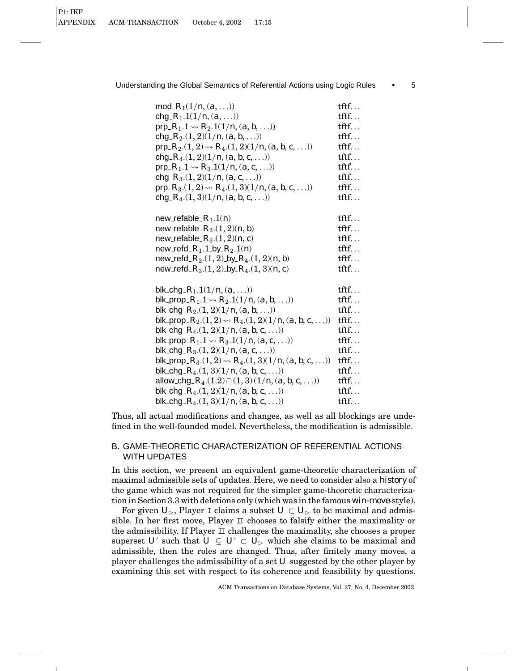| mod_ $R_1(1/n,(a,\ldots))$                                          | $\text{tff.}$        |
|---------------------------------------------------------------------|----------------------|
| chg_ $R_1$ .1(1/n, (a, ))                                           | $\text{tftf.} \dots$ |
| prp_ $R_1$ .1 $\rightsquigarrow R_2$ .1(1/n, (a, b, ))              | $\text{tftf.}$       |
| chg_ $R_2$ .(1, 2)(1/n, (a, b, ))                                   | $\text{tftf.}$       |
| prp_ $R_2$ .(1, 2) $\rightsquigarrow R_4$ .(1, 2)(1/n, (a, b, c, )) | $\text{tff.}\ldots$  |
| chg_ $R_4.(1,2)(1/n,(a,b,c,))$                                      | $\text{tftf.}$       |
| prp_ $R_1$ .1 $\rightsquigarrow R_3$ .1(1/n, (a, c, ))              | $\text{tff.} \dots$  |
| chg_ $R_3(1,2)(1/n,(a, c, \ldots))$                                 | $\text{tff.}\ldots$  |

prp  $R_3(1, 2) \rightarrow R_4(1, 3)(1/n, (a, b, c, \ldots))$  tftf... chg  $R_4(1, 3)(1/n, (a, b, c, \ldots))$  tftf...

Understanding the Global Semantics of Referential Actions using Logic Rules • 5

| new_refable_ $R_1.1(n)$                                          | $\text{tff.}\ldots$ |
|------------------------------------------------------------------|---------------------|
| new_refable_ $R_2$ . $(1, 2)$ $(n, b)$                           | $\text{tff.}$       |
| new_refable_ $R_3(1,2)(n, c)$                                    | $\text{tff.} \dots$ |
| new_refd_ $R_1.1$ _by_ $R_2.1(n)$                                | $\text{tff.}\ldots$ |
| new_refd_ $R_2$ .(1, 2)_by_ $R_4$ .(1, 2)( <i>n</i> , <i>b</i> ) | $\text{tff.}\ldots$ |
| new_refd_ $R_3(1,2)$ _by_ $R_4(1,3)(n, c)$                       | $\text{tff.}\ldots$ |
|                                                                  |                     |

| tftf…                |
|----------------------|
| tftf…                |
| tftf…                |
| $\text{tff.}\ldots$  |
| tftf…                |
| $\text{tftf.}\ldots$ |
| $\text{tfif.}\,$     |
| $\text{tftf.}$       |
| $\text{tftf.} \dots$ |
| $\text{tftf.} \dots$ |
| $\text{tff.}\ldots$  |
| tftf…                |
|                      |

Thus, all actual modifications and changes, as well as all blockings are undefined in the well-founded model. Nevertheless, the modification is admissible.

# B. GAME-THEORETIC CHARACTERIZATION OF REFERENTIAL ACTIONS WITH UPDATES

In this section, we present an equivalent game-theoretic characterization of maximal admissible sets of updates. Here, we need to consider also a *history* of the game which was not required for the simpler game-theoretic characterization in Section 3.3 with deletions only (which was in the famous *win-move*-style).

For given  $U_{\triangleright}$ , Player I claims a subset  $U \subset U_{\triangleright}$  to be maximal and admissible. In her first move, Player  $\Box$  chooses to falsify either the maximality or the admissibility. If Player II challenges the maximality, she chooses a proper superset *U'* such that  $U \subsetneq U' \subset U_{\triangleright}$  which she claims to be maximal and admissible, then the roles are changed. Thus, after finitely many moves, a player challenges the admissibility of a set *U* suggested by the other player by examining this set with respect to its coherence and feasibility by questions.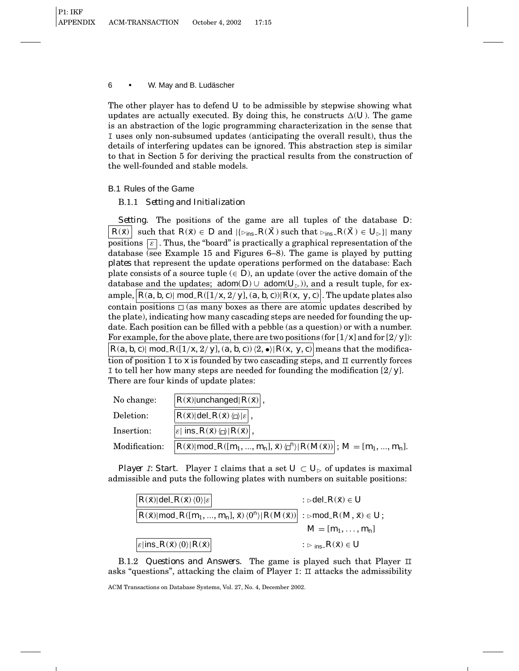The other player has to defend *U* to be admissible by stepwise showing what updates are actually executed. By doing this, he constructs  $\Delta(U)$ . The game is an abstraction of the logic programming characterization in the sense that I uses only non-subsumed updates (anticipating the overall result), thus the details of interfering updates can be ignored. This abstraction step is similar to that in Section 5 for deriving the practical results from the construction of the well-founded and stable models.

# B.1 Rules of the Game

# B.1.1 *Setting and Initialization*

*Setting.* The positions of the game are all tuples of the database *D*: *R*( $\bar{x}$ ) such that  $R(\bar{x}) \in D$  and  $|\{\sum_{ins} R(\bar{X}) \text{ such that } \sum_{ins} R(\bar{X}) \in U_{\triangleright}\}|$  many positions  $\epsilon$ . Thus, the "board" is practically a graphical representation of the database (see Example 15 and Figures 6–8). The game is played by putting *plates* that represent the update operations performed on the database: Each plate consists of a source tuple  $(\in D)$ , an update (over the active domain of the database and the updates;  $\text{adom}(D) \cup \text{adom}(U_{\triangleright})$ , and a result tuple, for example,  $|R(a, b, c)|$  mod  $R([1/x, 2/y], (a, b, c)| R(x, y, c)|$ . The update plates also contain positions  $\Box$  (as many boxes as there are atomic updates described by the plate), indicating how many cascading steps are needed for founding the update. Each position can be filled with a pebble (as a question) or with a number. For example, for the above plate, there are two positions (for [1/*x*] and for [2/ *y*]):  $R(a, b, c)$ | mod\_ $R([1/x, 2/y], (a, b, c))$  $\langle 2, \bullet \rangle | R(x, y, c)$ | means that the modification of position 1 to *x* is founded by two cascading steps, and II currently forces I to tell her how many steps are needed for founding the modification [2/ *y*]. There are four kinds of update plates:

| No change:    | $ R(\bar{x}) $ unchanged $ R(\bar{x}) $ ,                                                                         |
|---------------|-------------------------------------------------------------------------------------------------------------------|
| Deletion:     | $ R(\bar{x}) $ del $R(\bar{x})$ $ z $ ,                                                                           |
| Insertion:    | $ \varepsilon $ ins $R(\bar{x}) \langle \Box \rangle  R(\bar{x}) $ ,                                              |
| Modification: | $ R(\bar{x})  \text{mod.} R([m_1, , m_n], \bar{x}) \langle \Box^n \rangle   R(M(\bar{x})) $ ; $M = [m_1, , m_n].$ |

*Player I: Start.* Player I claims that a set  $U \subset U_{\triangleright}$  of updates is maximal admissible and puts the following plates with numbers on suitable positions:

| $ R(\bar{x}) $ del $R(\bar{x})\langle 0\rangle  \varepsilon $                                                                                          | $:$ ⊳del_ $R(\bar{x}) \in U$              |
|--------------------------------------------------------------------------------------------------------------------------------------------------------|-------------------------------------------|
| $\big R(\bar x) \text{\sf mod}_\_R([m_1,,m_n], \bar x)\langle 0^n\rangle R(M(\bar x)) :\text{\sf \small \texttt{b}}\text{\sf mod}_\_R(M,\bar x)\in U;$ |                                           |
|                                                                                                                                                        | $M = [m_1, , m_n]$                        |
| $\varepsilon$  ins_ $R(\bar{x})$ $\langle 0 \rangle   R(\bar{x}) $                                                                                     | : $\triangleright$ ins $R(\bar{x}) \in U$ |

B.1.2 *Questions and Answers.* The game is played such that Player II asks "questions", attacking the claim of Player  $I: \Pi$  attacks the admissibility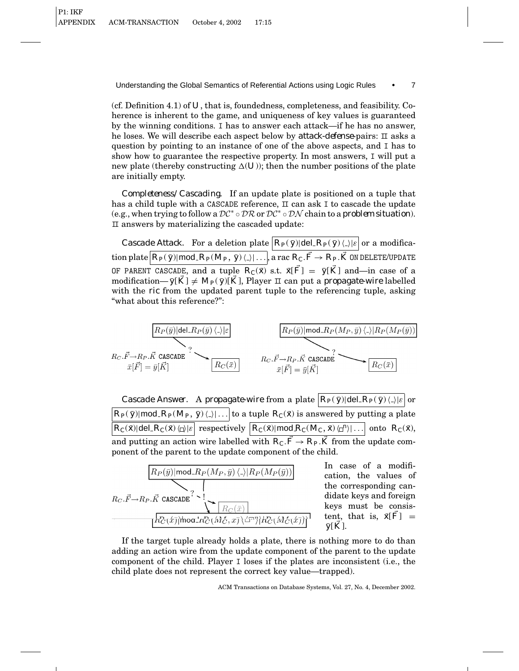(cf. Definition 4.1) of *U*, that is, foundedness, completeness, and feasibility. Coherence is inherent to the game, and uniqueness of key values is guaranteed by the winning conditions. I has to answer each attack—if he has no answer, he loses. We will describe each aspect below by *attack-defense*-pairs: II asks a question by pointing to an instance of one of the above aspects, and I has to show how to guarantee the respective property. In most answers, I will put a new plate (thereby constructing  $\Delta(U)$ ); then the number positions of the plate are initially empty.

*Completeness/Cascading.* If an update plate is positioned on a tuple that has a child tuple with a CASCADE reference,  $\Box$  can ask I to cascade the update (e.g., when trying to follow a DC<sup>∗</sup> ◦ DR or DC<sup>∗</sup> ◦ DN chain to a *problem situation*). II answers by materializing the cascaded update:

*Cascade Attack.* For a deletion plate  $\overline{R_P(\bar{y})}$  del  $\overline{R_P(\bar{y})}$  ( $\downarrow$ )  $|\varepsilon|$  or a modification plate  $\boxed{R_P(\bar{y})|\text{mod}_R R_P(M_P, \bar{y})\langle\,\rangle|\ldots}$ , a rac  $R_C.\vec{F}\to R_P.\vec{K}$  ON DELETE/UPDATE OF PARENT CASCADE, and a tuple  $R_C(\bar{x})$  s.t.  $\bar{x}[\bar{F}] = \bar{y}[\bar{K}]$  and—in case of a modification—  $\bar{y}[\bar{K}] \neq M_P(\bar{y})[\bar{K}]$ , Player II can put a *propagate-wire* labelled with the *ric* from the updated parent tuple to the referencing tuple, asking "what about this reference?":



*Cascade Answer.* A *propagate-wire* from a plate  $\overline{R_P(\bar{y})}$  del  $\overline{R_P(\bar{y})}$  ( $\downarrow$ ) $|\varepsilon|$  or  $R_P(\bar{y})$ |mod\_ $R_P(M_P, \bar{y})\langle\ldots\rangle$  to a tuple  $R_C(\bar{x})$  is answered by putting a plate  $R_C(\bar{x})$ |del  $R_C(\bar{x})$   $\bigoplus |\varepsilon|$  respectively  $\big| R_C(\bar{x}) | \text{mod } R_C(M_C, \bar{x}) \big| \big| \dots \big|$  onto  $R_C(\bar{x})$ , and putting an action wire labelled with  $R_C \cdot \vec{F} \rightarrow R_P \cdot \vec{K}$  from the update component of the parent to the update component of the child.



If the target tuple already holds a plate, there is nothing more to do than adding an action wire from the update component of the parent to the update component of the child. Player I loses if the plates are inconsistent (i.e., the child plate does not represent the correct key value—trapped).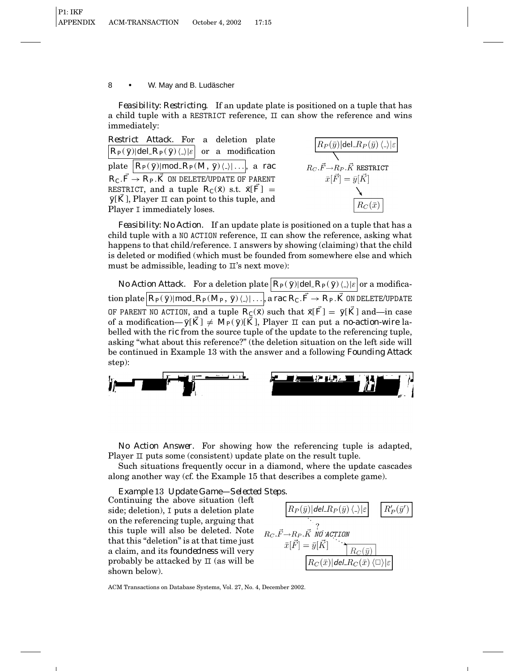*Feasibility: Restricting.* If an update plate is positioned on a tuple that has a child tuple with a RESTRICT reference,  $\Box$  can show the reference and wins immediately:

*Restrict Attack.* For a deletion plate  $R_P(\bar{y})$ |del  $R_P(\bar{y})\langle\ \rangle|\varepsilon|$  or a modification plate  $|R_P(\bar{y})| \text{mod}_R P(M, \bar{y}) \langle . \rangle | \dots$ , a *rac*  $R_C$ .  $\vec{F} \rightarrow R_P$ .  $\vec{K}$  on delete/update of parent RESTRICT, and a tuple  $R_C(\bar{x})$  s.t.  $\bar{x}[\bar{F}] =$  $\bar{y}$ [*K*], Player  $\pi$  can point to this tuple, and Player I immediately loses.



*Feasibility: No Action.* If an update plate is positioned on a tuple that has a child tuple with a NO ACTION reference,  $\pi$  can show the reference, asking what happens to that child/reference. I answers by showing (claiming) that the child is deleted or modified (which must be founded from somewhere else and which must be admissible, leading to  $\mathbb{I}'$ 's next move):

*No Action Attack.* For a deletion plate  $|R_P(\bar{y})|$ del  $R_P(\bar{y})\langle$ .) $|\varepsilon|$  or a modifica- $\cosh\left(R_P(\bar{\textit{y}}) | \textsf{mod} \textit{.} R_P(M_P,\bar{\textit{y}})\langle .\rangle | \ldots\right]$  a  $\mathit{rac}\,R_C.\vec{F}\!\rightarrow R_P.\vec{K}$  on delete/update OF PARENT NO ACTION, and a tuple  $R_C(\bar{x})$  such that  $\bar{x}[\bar{F}] = \bar{y}[\bar{K}]$  and—in case of a modification— $\bar{y}[K] \neq M_P(\bar{y}[\bar{K}], \text{ Player } \Pi \text{ can put a no-action-wire la$ belled with the *ric* from the source tuple of the update to the referencing tuple, asking "what about this reference?" (the deletion situation on the left side will be continued in Example 13 with the answer and a following *Founding Attack* step):



*No Action Answer.* For showing how the referencing tuple is adapted, Player  $\text{II}$  puts some (consistent) update plate on the result tuple.

Such situations frequently occur in a diamond, where the update cascades along another way (cf. the Example 15 that describes a complete game).

*Example* 13 *Update Game—Selected Steps.*

Continuing the above situation (left side; deletion), I puts a deletion plate on the referencing tuple, arguing that this tuple will also be deleted. Note that this "deletion" is at that time just a claim, and its *foundedness* will very probably be attacked by  $\pi$  (as will be shown below).

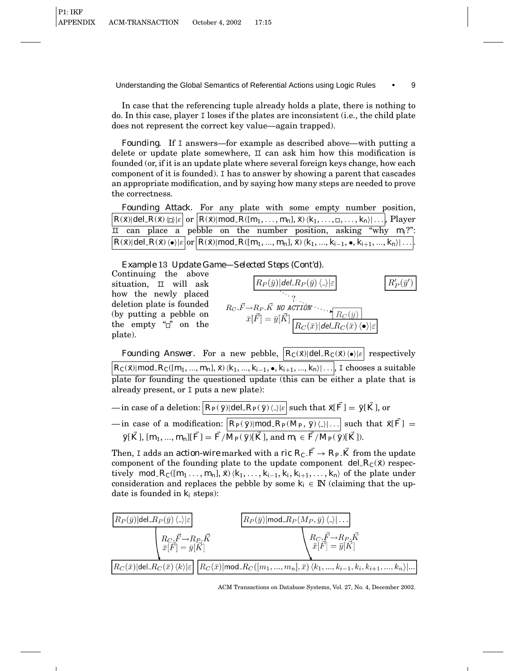In case that the referencing tuple already holds a plate, there is nothing to do. In this case, player I loses if the plates are inconsistent (i.e., the child plate does not represent the correct key value—again trapped).

*Founding.* If I answers—for example as described above—with putting a delete or update plate somewhere,  $\scriptstyle\rm II$  can ask him how this modification is founded (or, if it is an update plate where several foreign keys change, how each component of it is founded). I has to answer by showing a parent that cascades an appropriate modification, and by saying how many steps are needed to prove the correctness.

| Founding Attack. For any plate with some empty number position,                                                                                                                                          |
|----------------------------------------------------------------------------------------------------------------------------------------------------------------------------------------------------------|
| $ R(\bar{x}) $ del $ R(\bar{x})\langle\Box\rangle \varepsilon $ or $ R(\bar{x}) $ mod $R([m_1,\ldots,m_n],\bar{x})\langle k_1,\ldots,\Box,\ldots,k_n\rangle \ldots $ , Player                            |
| $\overline{\mathbf{I}}$ can place a pebble on the number position, asking "why $m_i$ ?":                                                                                                                 |
| $\boxed{R(\bar{x}) \text{del}_R(\bar{x})\langle\bullet\rangle \varepsilon }$ or $\boxed{R(\bar{x}) \text{mod}_R([m_1, , m_n], \bar{x})\langle k_1, , k_{i-1}, \bullet, k_{i+1}, , k_n\rangle \ldots }$ . |

*Example* 13 *Update Game—Selected Steps (Cont'd).*

Continuing the above situation,  $\Box$  will ask how the newly placed deletion plate is founded (by putting a pebble on the empty " $\vec{a}$ " on the plate).

$$
R_P(\bar{y})|del.R_P(\bar{y})\langle\mathcal{p}|\varepsilon
$$
\n
$$
R_C.\vec{F} \rightarrow R_P.\vec{K} \text{ NO } \text{ACTION}
$$
\n
$$
\bar{x}[\vec{F}] = \bar{y}[\vec{K}] \frac{R_C(\bar{y})}{R_C(\bar{x})|del.R_C(\bar{x})\langle\bullet\rangle|\varepsilon}
$$

*Founding Answer.* For a new pebble,  $R_C(\bar{x})$ |del\_ $R_C(\bar{x})\langle \bullet \rangle |\varepsilon|$  respectively  $R_C(\bar{x}$ ||mod\_ $R_C([m_1, ..., m_n], \bar{x})\langle k_1, ..., k_{i-1}, \bullet, k_{i+1}, ..., k_n \rangle| \dots$ , I chooses a suitable plate for founding the questioned update (this can be either a plate that is already present, or I puts a new plate):

 $-\text{in case of a deletion:}\left[R_P(\bar{y})\middle|\text{del}\right]R_P(\bar{y})\left(\frac{1}{\epsilon}\right)\text{such that }\bar{x}[\vec{F}]=\bar{y}[\vec{K}], \text{or}$ —in case of a modification:  $\boxed{R_P(\bar{y}) \mid \text{mod.} R_P(M_P, \bar{y}) \langle \ldots \rangle}$  such that  $\bar{x}[\vec{F}] =$  $\vec{y}[\vec{K}], [\vec{m_1}, ..., \vec{m_n}][\vec{F}] = \vec{F}/\overline{M_P(\vec{y})[\vec{K}]}, \text{and } \vec{m_i} \in \vec{F}/\overline{M_P(\vec{y})[\vec{K}]}.$ 

Then, I adds an *action-wire* marked with a *ric*  $R_C \cdot \vec{F} \rightarrow R_P \cdot \vec{K}$  from the update component of the founding plate to the update component del  $R_C(\bar{x})$  respectively mod  $R_C([m_1 \ldots, m_n], \bar{x}) \langle k_1, \ldots, k_{i-1}, k_i, k_{i+1}, \ldots, k_n \rangle$  of the plate under consideration and replaces the pebble by some  $k_i \in \mathbb{N}$  (claiming that the update is founded in *ki* steps):



ACM Transactions on Database Systems, Vol. 27, No. 4, December 2002.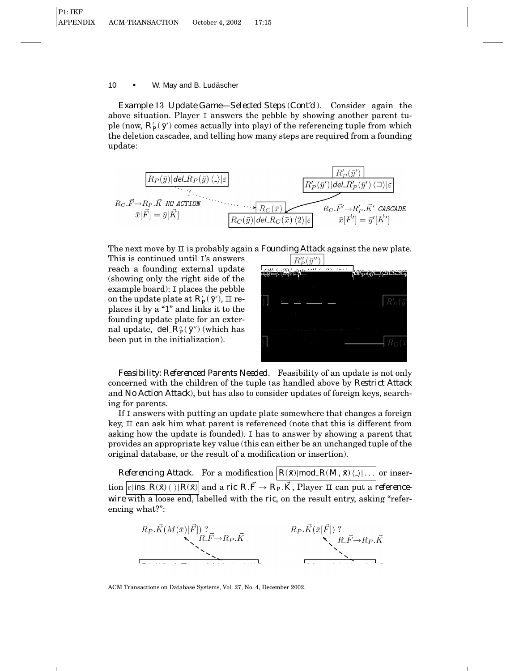*Example* 13 *Update Game—Selected Steps* (*Cont'd* )*.* Consider again the above situation. Player I answers the pebble by showing another parent tuple (now,  $R'_P(\bar{y}')$  comes actually into play) of the referencing tuple from which the deletion cascades, and telling how many steps are required from a founding update:

$$
R_C.\vec{F} \to R_P.\vec{K} \text{ NO } \text{ACTION}
$$
\n
$$
R_C.\vec{F} \to R_P.\vec{K} \text{ NO } \text{ACTION}
$$
\n
$$
\overline{x}[\vec{F}] = \overline{y}[\vec{K}]
$$
\n
$$
R_C(\overline{y}) | \text{del.}R_C(\overline{x})
$$
\n
$$
R_C.\vec{F}' \to R_P.\vec{K}' \text{ CO } \text{ACTION}
$$
\n
$$
R_C(\overline{y}) | \text{del.}R_C(\overline{x})
$$
\n
$$
R_C.\vec{F}' \to R'_P.\vec{K}' \text{ CASCADE}
$$
\n
$$
\overline{x}[\vec{F}'] = \overline{y}'[\vec{K}']
$$

The next move by II is probably again a *Founding Attack* against the new plate.

This is continued until I's answers reach a founding external update (showing only the right side of the example board): I places the pebble on the update plate at  $R'_P(\bar{y}')$ ,  $\Box$  replaces it by a "1" and links it to the founding update plate for an external update, del  $R_{P}^{\prime\prime}(\bar{y}^{\prime\prime})$  (which has been put in the initialization).



*Feasibility: Referenced Parents Needed.* Feasibility of an update is not only concerned with the children of the tuple (as handled above by *Restrict Attack* and *No Action Attack*), but has also to consider updates of foreign keys, searching for parents.

If I answers with putting an update plate somewhere that changes a foreign key, II can ask him what parent is referenced (note that this is different from asking how the update is founded). I has to answer by showing a parent that provides an appropriate key value (this can either be an unchanged tuple of the original database, or the result of a modification or insertion).

*Referencing Attack.* For a modification  $|R(\bar{x})| \text{mod } R(M, \bar{x}) \langle . \rangle | \dots |$  or inser- $\frac{1}{2}$  ins  $R(\bar{x})\langle \rangle |R(\bar{x})|$  and a *ric R*.  $\vec{F} \to R_P$ .  $\vec{K}$ , Player II can put a *referencewire* with a loose end, labelled with the *ric*, on the result entry, asking "referencing what?":



ACM Transactions on Database Systems, Vol. 27, No. 4, December 2002.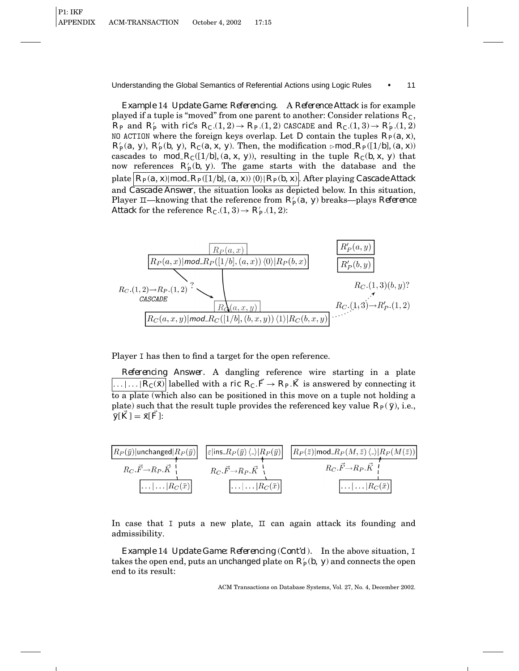*Example* 14 *Update Game: Referencing.* A *Reference Attack* is for example played if a tuple is "moved" from one parent to another: Consider relations *RC*,  $R_P$  and  $R'_P$  with *ric*'s  $R_C(1, 2) \rightarrow R_P(1, 2)$  CASCADE and  $R_C(1, 3) \rightarrow R'_P(1, 2)$ NO ACTION where the foreign keys overlap. Let *D* contain the tuples  $R_P(a, x)$ ,  $R'_P(a, y)$ ,  $R'_P(b, y)$ ,  $R_C(a, x, y)$ . Then, the modification  $\triangleright$  mod  $R_P([1/b], (a, x))$ cascades to mod<sub>-</sub> $R_C([1/b], (a, x, y))$ , resulting in the tuple  $R_C(b, x, y)$  that now references  $R'_p(b, y)$ . The game starts with the database and the plate  $|R_P(a, x)| \text{mod } R_P([1/b], (a, x)) \langle 0 \rangle | R_P(b, x)$ . After playing *Cascade Attack* and *Cascade Answer*, the situation looks as depicted below. In this situation, Player  $\Box$ —knowing that the reference from  $R'_P(a, y)$  breaks—plays *Reference Attack* for the reference  $R_C(1,3) \rightarrow R'_P(1,2)$ :



Player I has then to find a target for the open reference.

*Referencing Answer.* A dangling reference wire starting in a plate  $\overline{\ldots \ldots \ldots \lvert R_C(\bar x) \rvert}$  labelled with a *ric*  $R_C \cdot \vec{F} \to R_P \cdot \vec{K}$  is answered by connecting it to a plate (which also can be positioned in this move on a tuple not holding a plate) such that the result tuple provides the referenced key value  $R_P(\bar{y})$ , i.e.,  $\bar{y}[K] = \bar{x}[F]$ :

| $ R_P(\bar{y}) $ unchanged $ R_P(\bar{y}) $               | $\left \varepsilon\right $ ins_ $R_P(\bar{y})\left\langle \right \right  R_P(\bar{y})\right $ | $\left  R_P(\bar z)   {\sf mod} \_R_P(M,\bar z) \left\langle \rule{0pt}{2pt} \right. \right\rangle \!\! \left  R_P(M(\bar z)) \right $ |
|-----------------------------------------------------------|-----------------------------------------------------------------------------------------------|----------------------------------------------------------------------------------------------------------------------------------------|
| $R_C.\vec{F}\rightarrow R_P.\vec{K}$                      | $R_C.\vec{F}\rightarrow R_P.\vec{K}$                                                          | $R_C.\vec{F} \rightarrow R_P.\vec{K}$                                                                                                  |
| $\left  \ldots \right  \ldots \left  R_C(\bar x) \right $ | $\left  \ldots \right  \ldots \left  R_C(\bar{x}) \right $                                    | $\left  \ldots \right  \ldots \left  R_C(\bar{x}) \right $                                                                             |

In case that I puts a new plate,  $\Box$  can again attack its founding and admissibility.

*Example* 14 *Update Game: Referencing* (*Cont'd* )*.* In the above situation, I takes the open end, puts an unchanged plate on  $R'_P(b,\ y)$  and connects the open end to its result: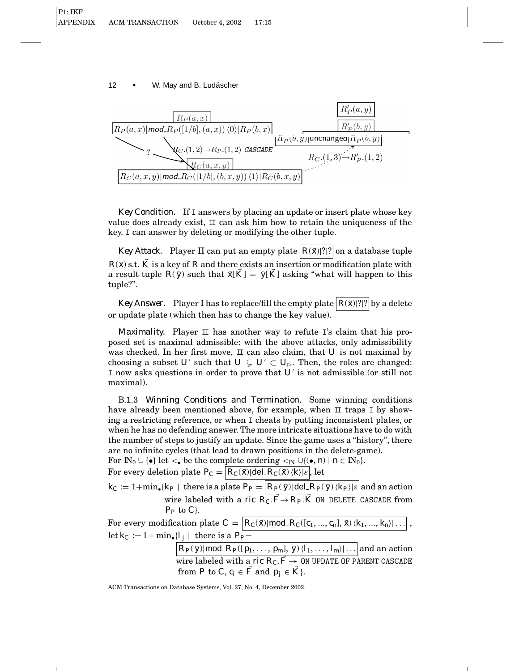

*Key Condition.* If I answers by placing an update or insert plate whose key value does already exist,  $\scriptstyle\rm II$  can ask him how to retain the uniqueness of the key. I can answer by deleting or modifying the other tuple.

*Key Attack.* Player II can put an empty plate  $|R(\bar{x})|$ ?|?| on a database tuple  $R(\bar{x})$  s.t.  $\hat{K}$  is a key of  $R$  and there exists an insertion or modification plate with a result tuple  $R(\bar{y})$  such that  $\bar{x}[\bar{K}] = \bar{y}[\bar{K}]$  asking "what will happen to this tuple?".

*Key Answer.* Player I has to replace/fill the empty plate  $R(\bar{x})$ ?|?| by a delete or update plate (which then has to change the key value).

*Maximality.* Player  $\pi$  has another way to refute I's claim that his proposed set is maximal admissible: with the above attacks, only admissibility was checked. In her first move,  $\Box$  can also claim, that  $U$  is not maximal by choosing a subset *U*<sup> $\prime$ </sup> such that  $U \subsetneq U$ <sup> $\prime$ </sup>  $\subset U$ <sub> $\triangleright$ </sub>. Then, the roles are changed: I now asks questions in order to prove that U' is not admissible (or still not maximal).

B.1.3 *Winning Conditions and Termination.* Some winning conditions have already been mentioned above, for example, when  $\scriptstyle\rm II$  traps I by showing a restricting reference, or when I cheats by putting inconsistent plates, or when he has no defending answer. The more intricate situations have to do with the number of steps to justify an update. Since the game uses a "history", there are no infinite cycles (that lead to drawn positions in the delete-game).

For  $\mathbb{N}_0 \cup \{\bullet\}$  let  $\lt_{\bullet}$  be the complete ordering  $\lt_{\mathbb{N}} \cup \{(\bullet, n) \mid n \in \mathbb{N}_0\}.$ 

For every deletion plate  $P_C = \boxed{R_C(\bar{x})|\text{del}\_R_C(\bar{x})\langle k\rangle|\varepsilon}$ , let

 $k_C := 1 + \min_{\bullet} \{ k_P \mid \text{ there is a plate } P_P = \left| R_P(\bar{\textit{y}}) \right| \text{del} \_R_P(\bar{\textit{y}}) \, \langle k_P \rangle | \varepsilon \right|$  and an action wire labeled with a *ric*  $R_C$ .  $\vec{F} \rightarrow R_P$ .  $\vec{K}$  ON DELETE CASCADE from  $P_P$  to  $C$ .

For every modification plate  $C = \boxed{R_C(\bar{x}) \mid \text{mod}\, R_C(\lfloor c_1, ..., c_n \rfloor, \bar{x}) \langle k_1, ..., k_n \rangle \mid \ldots}$ let  $k_{C_i} := 1 + \min_{\bullet} \{l_j \mid \text{there is a } P_P =$ 

> $R_P(\bar{\textit{y}})$ |mod\_ $R_P(\lceil p_1,\ldots,p_m\rceil,\bar{\textit{y}})\langle l_1,\ldots,l_m\rangle|\ldots|$  and an action wire labeled with a *ric R<sub>C</sub>*.  $\vec{F} \rightarrow 0$ N UPDATE OF PARENT CASCADE from *P* to *C*,  $c_i \in \vec{F}$  and  $p_i \in \vec{K}$ .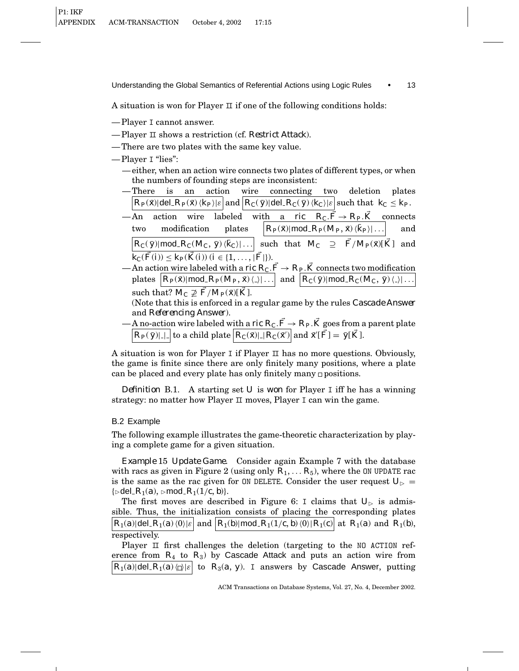A situation is won for Player  $\mathbb I$  if one of the following conditions holds:

- Player I cannot answer.
- Player II shows a restriction (cf. *Restrict Attack*).
- There are two plates with the same key value.

— Player I "lies":

- either, when an action wire connects two plates of different types, or when the numbers of founding steps are inconsistent:
- There is an action wire connecting two deletion plates  $R_P(\bar{x})$ |del  $R_P(\bar{x})$   $\langle k_P \rangle |\varepsilon|$  and  $\langle R_C(\bar{y})|$  del  $R_C(\bar{y})$   $\langle k_C \rangle |\varepsilon|$  such that  $k_C \leq k_P$ .
- $-\text{An}$  action wire labeled with a *ric*  $R_C \cdot \vec{F} \to R_P \cdot \vec{K}$  connects two modification plates  $R_P(\bar{x})$ |mod\_ $R_P(M_P, \bar{x})\langle \bar{k}_P \rangle |...$  and  $R_C(\bar{y})$ |mod\_ $R_C(M_C, \bar{y})\langle k_C \rangle$ |... such that  $M_C \supseteq \bar{F}/M_P(\bar{x})[\bar{K}]$  and  $\overline{k_{C}(\vec{F}(i))} \leq k_{P}(\vec{K}(i))$  (*i* ∈ {1, ..., | $\overline{F}$ }).
- An action wire labeled with a *ric R<sub>C</sub>*.  $\vec{F} \rightarrow R_P \cdot \vec{K}$  connects two modification  $p$  lates  $\left[ R_P(\bar{x}) | \text{mod} \ R_P(M_P, \bar{x}) \langle . \rangle | \dots \right]$  and  $\left[ R_C(\bar{y}) | \text{mod} \ R_C(M_C, \bar{y}) \langle . \rangle | \dots \right]$ 
	- such that?  $M_C \not\supseteq \overline{F}/M_P(\overline{x})[\overline{K}]$ .

(Note that this is enforced in a regular game by the rules *Cascade Answer* and *Referencing Answer*).

— <u>A no-actio</u>n wire labeled with a *ric R<sub>C</sub>.F*  $\rightarrow$  *R<sub>P</sub>.K* goes from a parent plate  $R_P(\bar{y})$ || | to a child plate  $\boxed{R_C(\bar{x})$ || $R_C(\bar{x}')$  and  $\bar{x}'[\vec{F}]=\bar{y}[\vec{K}].$ 

A situation is won for Player I if Player  $\scriptstyle\rm II$  has no more questions. Obviously, the game is finite since there are only finitely many positions, where a plate can be placed and every plate has only finitely many positions.

*Definition* B.1. A starting set *U* is *won* for Player I iff he has a winning strategy: no matter how Player  $\mathbb I$  moves, Player I can win the game.

# B.2 Example

The following example illustrates the game-theoretic characterization by playing a complete game for a given situation.

*Example* 15 *Update Game.* Consider again Example 7 with the database with racs as given in Figure 2 (using only  $R_1, \ldots, R_5$ ), where the ON UPDATE rac is the same as the rac given for ON DELETE. Consider the user request  $U_{\triangleright}$  =  $\{\triangleright$ del  $R_1(a), \triangleright$ mod  $R_1(1/c, b)\}.$ 

The first moves are described in Figure 6: I claims that  $U_{\triangleright}$  is admissible. Thus, the initialization consists of placing the corresponding plates  $R_1(a)$ |del  $R_1(a)$ |(0)| $\varepsilon$ | and  $R_1(b)$ |mod  $R_1(1/c, b)$ |(0)| $R_1(c)$ | at  $R_1(a)$  and  $R_1(b)$ , respectively.

Player  $\scriptstyle\rm II$  first challenges the deletion (targeting to the NO ACTION reference from  $R_4$  to  $R_3$ ) by Cascade Attack and puts an action wire from  $R_1(a)$ |del\_ $R_1(a)$ | $\Box$ | to  $R_3(a, y)$ . I answers by Cascade Answer, putting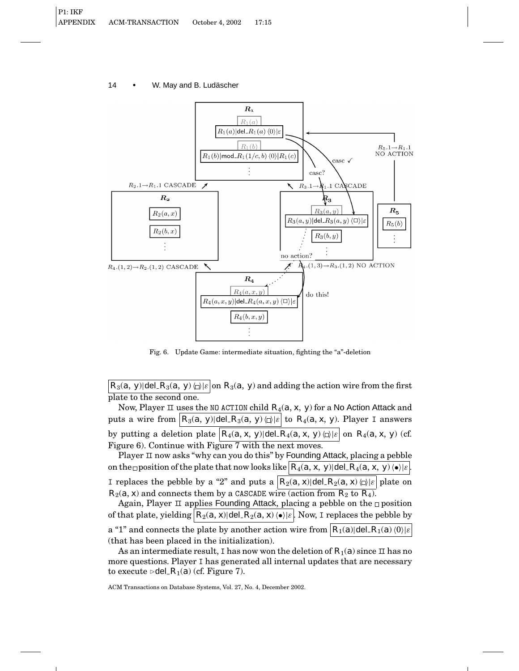

Fig. 6. Update Game: intermediate situation, fighting the "a"-deletion

*R*<sub>3</sub>(*a*, *y*)|del\_*R*<sub>3</sub>(*a*, *y*) $\varphi$ | $\varepsilon$ |on *R*<sub>3</sub>(*a*, *y*) and adding the action wire from the first plate to the second one.

Now, Player II uses the NO ACTION child *R*4(*a*, *x*, *y*) for a No Action Attack and puts a wire from  $|R_3(a, y)|$ del  $R_3(a, y)$   $\varphi$ <sub>k</sub>  $\varphi$  to  $R_4(a, x, y)$ . Player I answers by putting a deletion plate  $|R_4(a, x, y)|$  del  $|R_4(a, x, y)| \geq |a|$  on  $R_4(a, x, y)$  (cf. Figure 6). Continue with Figure 7 with the next moves.

Player II now asks "why can you do this" by Founding Attack, placing a pebble on the position of the plate that now looks like  $|R_4(a, x, y)|$  del  $|R_4(a, x, y)| \cdot | \varepsilon |$ I replaces the pebble by a "2" and puts a  $|R_2(a, x)|$ del  $R_2(a, x)$   $\Box$  also be on  $R_2(a, x)$  and connects them by a CASCADE wire (action from  $R_2$  to  $R_4$ ).

Again, Player  $\scriptstyle\rm II$  applies Founding Attack, placing a pebble on the  $\scriptstyle\rm \Box$  position of that plate, yielding  $R_2(a, x)$  del  $R_2(a, x)$   $\leftrightarrow$   $|\varepsilon|$ . Now, I replaces the pebble by a "1" and connects the plate by another action wire from  $R_1(a)|\text{del.} R_1(a) \langle 0 \rangle|\varepsilon$ (that has been placed in the initialization).

As an intermediate result, I has now won the deletion of  $R_1(a)$  since II has no more questions. Player I has generated all internal updates that are necessary to execute  $\triangleright$  del  $R_1(a)$  (cf. Figure 7).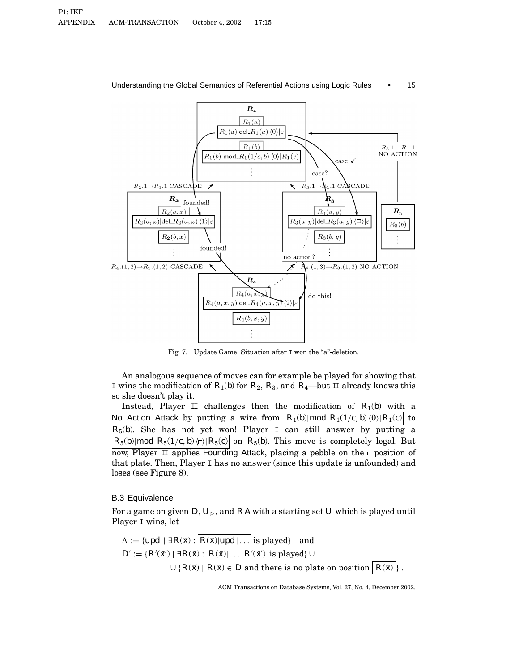

Fig. 7. Update Game: Situation after I won the "a"-deletion.

An analogous sequence of moves can for example be played for showing that I wins the modification of  $R_1(b)$  for  $R_2$ ,  $R_3$ , and  $R_4$ —but II already knows this so she doesn't play it.

Instead, Player II challenges then the modification of  $R_1(b)$  with a No Action Attack by putting a wire from  $R_1(b)$ |mod\_ $R_1(1/c, b)(0)$ | $R_1(c)$  to  $R_5(b)$ . She has not yet won! Player I can still answer by putting a  $R_5(b)$ |mod\_ $R_5(1/c, b)$   $\Box$ | $R_5(c)$ | on  $R_5(b)$ . This move is completely legal. But now, Player  $\overline{\perp}$  applies Founding Attack, placing a pebble on the  $\Box$  position of that plate. Then, Player I has no answer (since this update is unfounded) and loses (see Figure 8).

## B.3 Equivalence

For a game on given  $D, U_{\triangleright}$ , and  $RA$  with a starting set *U* which is played until Player I wins, let

$$
\Lambda := \{upd \mid \exists R(\bar{x}) : \left| R(\bar{x}) | upd \right| \dots \text{ is played} \} \text{ and}
$$
\n
$$
D' := \{ R'(\bar{x}') \mid \exists R(\bar{x}) : \left| R(\bar{x}) \right| \dots \mid R'(\bar{x}') \text{ is played} \} \cup
$$
\n
$$
\cup \{ R(\bar{x}) \mid R(\bar{x}) \in D \text{ and there is no plate on position } \left| R(\bar{x}) \right| \}.
$$